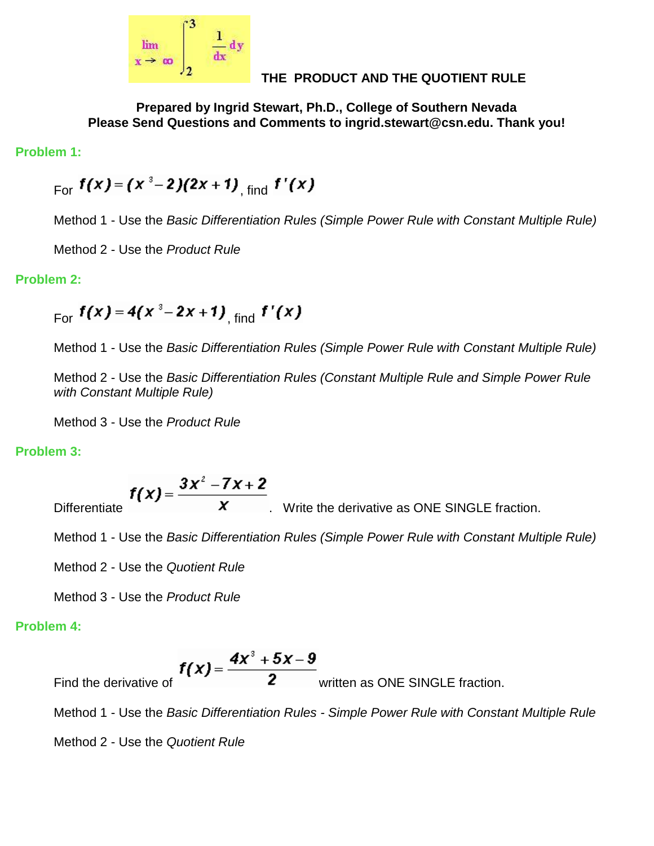

## **THE PRODUCT AND THE QUOTIENT RULE**

**Prepared by Ingrid Stewart, Ph.D., College of Southern Nevada Please Send Questions and Comments to ingrid.stewart@csn.edu. Thank you!**

**Problem 1:**

 $_{\text{For}}$   $f(x) = (x^3-2)(2x+1)$ <sub>find</sub>  $f'(x)$ 

Method 1 - Use the *Basic Differentiation Rules (Simple Power Rule with Constant Multiple Rule)*

Method 2 - Use the *Product Rule*

### **Problem 2:**

 $F_{\text{or}} f(x) = 4(x^3 - 2x + 1)$ <sub>rind</sub>  $f'(x)$ 

Method 1 - Use the *Basic Differentiation Rules (Simple Power Rule with Constant Multiple Rule)*

Method 2 - Use the *Basic Differentiation Rules (Constant Multiple Rule and Simple Power Rule with Constant Multiple Rule)*

Method 3 - Use the *Product Rule*

## **Problem 3:**

Differentiate  $f(x) = \frac{3x^2 - 7x + 2}{x}$ . Write the derivative as ONE SINGLE fraction.

Method 1 - Use the *Basic Differentiation Rules (Simple Power Rule with Constant Multiple Rule)*

Method 2 - Use the *Quotient Rule*

Method 3 - Use the *Product Rule*

## **Problem 4:**

Find the derivative of  $f(x) = \frac{4x^3 + 5x - 9}{2}$  written as ONE SINGLE fraction.

Method 1 - Use the *Basic Differentiation Rules - Simple Power Rule with Constant Multiple Rule*

Method 2 - Use the *Quotient Rule*